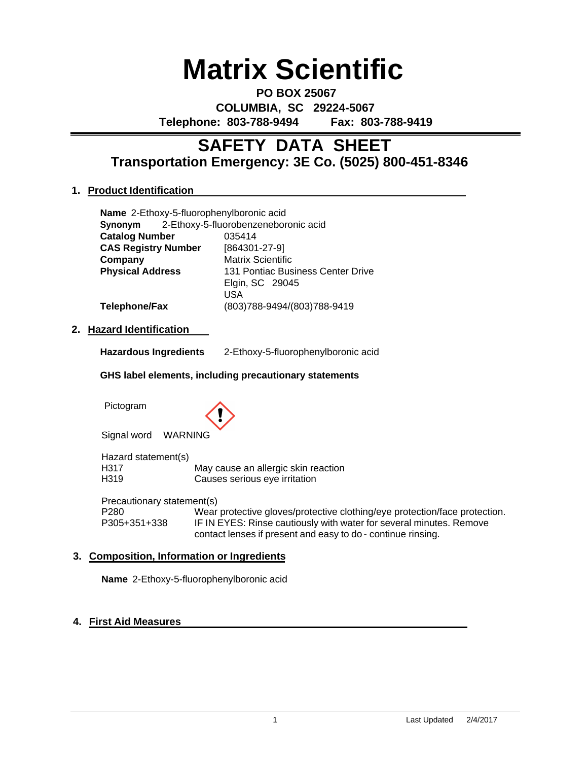# **Matrix Scientific**

**PO BOX 25067 COLUMBIA, SC 29224-5067 Telephone: 803-788-9494 Fax: 803-788-9419**

# **Transportation Emergency: 3E Co. (5025) 800-451-8346 SAFETY DATA SHEET**

# **1. Product Identification**

|                            | Name 2-Ethoxy-5-fluorophenylboronic acid     |  |  |
|----------------------------|----------------------------------------------|--|--|
|                            | Synonym 2-Ethoxy-5-fluorobenzeneboronic acid |  |  |
| <b>Catalog Number</b>      | 035414                                       |  |  |
| <b>CAS Registry Number</b> | [864301-27-9]                                |  |  |
| Company                    | <b>Matrix Scientific</b>                     |  |  |
| <b>Physical Address</b>    | 131 Pontiac Business Center Drive            |  |  |
|                            | Elgin, SC 29045                              |  |  |
|                            | USA                                          |  |  |
| <b>Telephone/Fax</b>       | (803)788-9494/(803)788-9419                  |  |  |
|                            |                                              |  |  |

### **2. Hazard Identification**

**Hazardous Ingredients** 2-Ethoxy-5-fluorophenylboronic acid

#### **GHS label elements, including precautionary statements**

Pictogram



Signal word WARNING

Hazard statement(s) H317 May cause an allergic skin reaction<br>
H319 Causes serious eve irritation Causes serious eye irritation

Precautionary statement(s) P280 Wear protective gloves/protective clothing/eye protection/face protection.<br>P305+351+338 IF IN EYES: Rinse cautiously with water for several minutes. Remove IF IN EYES: Rinse cautiously with water for several minutes. Remove contact lenses if present and easy to do - continue rinsing.

### **3. Composition, Information or Ingredients**

**Name** 2-Ethoxy-5-fluorophenylboronic acid

### **4. First Aid Measures**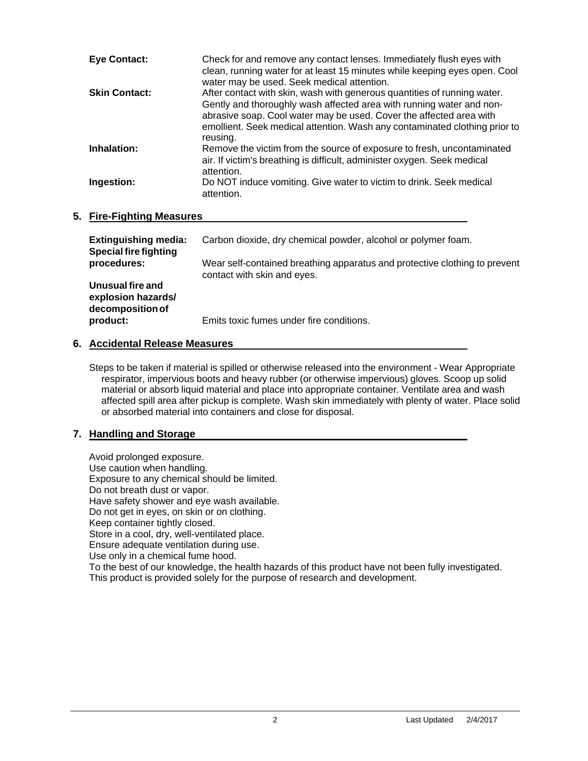| <b>Eye Contact:</b>  | Check for and remove any contact lenses. Immediately flush eyes with<br>clean, running water for at least 15 minutes while keeping eyes open. Cool<br>water may be used. Seek medical attention.                                                                                                                  |
|----------------------|-------------------------------------------------------------------------------------------------------------------------------------------------------------------------------------------------------------------------------------------------------------------------------------------------------------------|
| <b>Skin Contact:</b> | After contact with skin, wash with generous quantities of running water.<br>Gently and thoroughly wash affected area with running water and non-<br>abrasive soap. Cool water may be used. Cover the affected area with<br>emollient. Seek medical attention. Wash any contaminated clothing prior to<br>reusing. |
| Inhalation:          | Remove the victim from the source of exposure to fresh, uncontaminated<br>air. If victim's breathing is difficult, administer oxygen. Seek medical<br>attention.                                                                                                                                                  |
| Ingestion:           | Do NOT induce vomiting. Give water to victim to drink. Seek medical<br>attention.                                                                                                                                                                                                                                 |

### **5. Fire-Fighting Measures**

| <b>Extinguishing media:</b><br><b>Special fire fighting</b> | Carbon dioxide, dry chemical powder, alcohol or polymer foam.                                             |
|-------------------------------------------------------------|-----------------------------------------------------------------------------------------------------------|
| procedures:                                                 | Wear self-contained breathing apparatus and protective clothing to prevent<br>contact with skin and eyes. |
| Unusual fire and<br>explosion hazards/<br>decomposition of  |                                                                                                           |
| product:                                                    | Emits toxic fumes under fire conditions.                                                                  |

# **6. Accidental Release Measures**

Steps to be taken if material is spilled or otherwise released into the environment - Wear Appropriate respirator, impervious boots and heavy rubber (or otherwise impervious) gloves. Scoop up solid material or absorb liquid material and place into appropriate container. Ventilate area and wash affected spill area after pickup is complete. Wash skin immediately with plenty of water. Place solid or absorbed material into containers and close for disposal.

# **7. Handling and Storage**

Avoid prolonged exposure. Use caution when handling. Exposure to any chemical should be limited. Do not breath dust or vapor. Have safety shower and eye wash available. Do not get in eyes, on skin or on clothing. Keep container tightly closed. Store in a cool, dry, well-ventilated place. Ensure adequate ventilation during use. Use only in a chemical fume hood. To the best of our knowledge, the health hazards of this product have not been fully investigated. This product is provided solely for the purpose of research and development.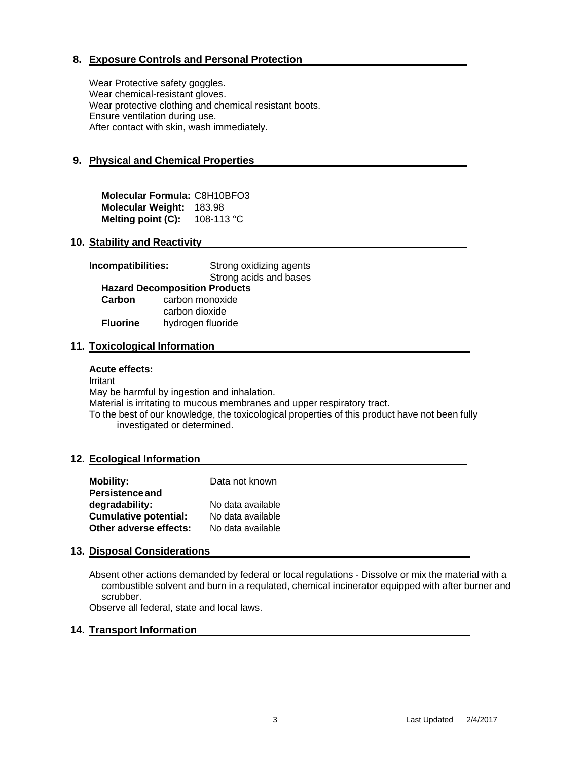# **8. Exposure Controls and Personal Protection**

Wear Protective safety goggles. Wear chemical-resistant gloves. Wear protective clothing and chemical resistant boots. Ensure ventilation during use. After contact with skin, wash immediately.

# **9. Physical and Chemical Properties**

**Molecular Formula:** C8H10BFO3 **Molecular Weight:** 183.98 **Melting point (C):** 108-113 °C

#### **10. Stability and Reactivity**

| Incompatibilities:                   | Strong oxidizing agents |  |  |  |
|--------------------------------------|-------------------------|--|--|--|
|                                      | Strong acids and bases  |  |  |  |
| <b>Hazard Decomposition Products</b> |                         |  |  |  |
| Carbon                               | carbon monoxide         |  |  |  |
|                                      | carbon dioxide          |  |  |  |
| <b>Fluorine</b>                      | hydrogen fluoride       |  |  |  |

#### **11. Toxicological Information**

#### **Acute effects:**

Irritant May be harmful by ingestion and inhalation.

Material is irritating to mucous membranes and upper respiratory tract.

To the best of our knowledge, the toxicological properties of this product have not been fully investigated or determined.

#### **12. Ecological Information**

| <b>Mobility:</b>             | Data not known    |
|------------------------------|-------------------|
| <b>Persistence and</b>       |                   |
| degradability:               | No data available |
| <b>Cumulative potential:</b> | No data available |
| Other adverse effects:       | No data available |

#### **13. Disposal Considerations**

Absent other actions demanded by federal or local regulations - Dissolve or mix the material with a combustible solvent and burn in a requlated, chemical incinerator equipped with after burner and scrubber.

Observe all federal, state and local laws.

#### **14. Transport Information**